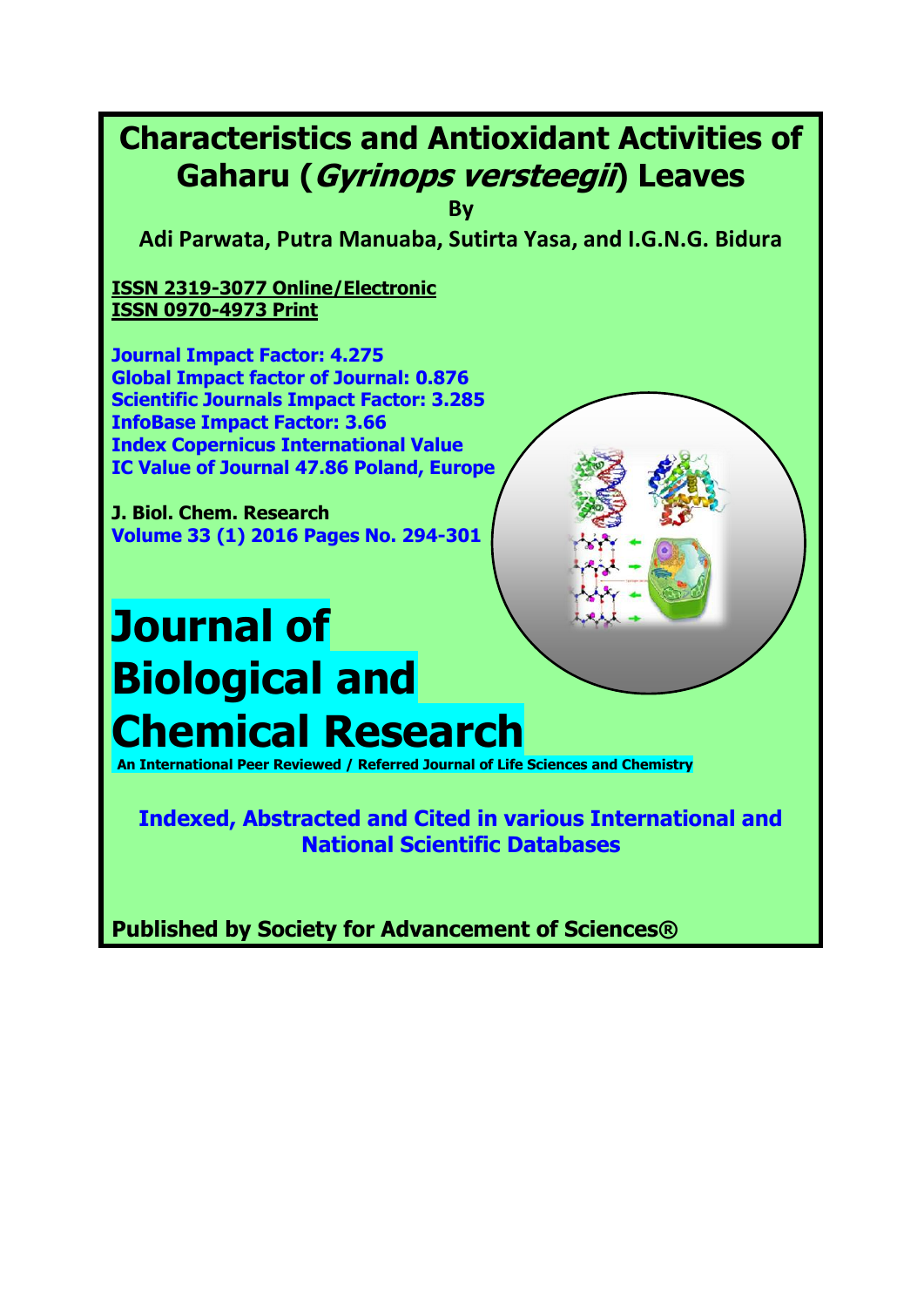# **Characteristics and Antioxidant Activities of Gaharu (Gyrinops versteegii) Leaves**

**By**

**Adi Parwata, Putra Manuaba, Sutirta Yasa, and I.G.N.G. Bidura**

**ISSN 2319-3077 Online/Electronic ISSN 0970-4973 Print**

**Journal Impact Factor: 4.275 Global Impact factor of Journal: 0.876 Scientific Journals Impact Factor: 3.285 InfoBase Impact Factor: 3.66 Index Copernicus International Value IC Value of Journal 47.86 Poland, Europe**

**J. Biol. Chem. Research Volume 33 (1) 2016 Pages No. 294-301**

# **Journal of Biological and Chemical Research**

**An International Peer Reviewed / Referred Journal of Life Sciences and Chemistry**

**Indexed, Abstracted and Cited in various International and National Scientific Databases**

**Published by Society for Advancement of Sciences®**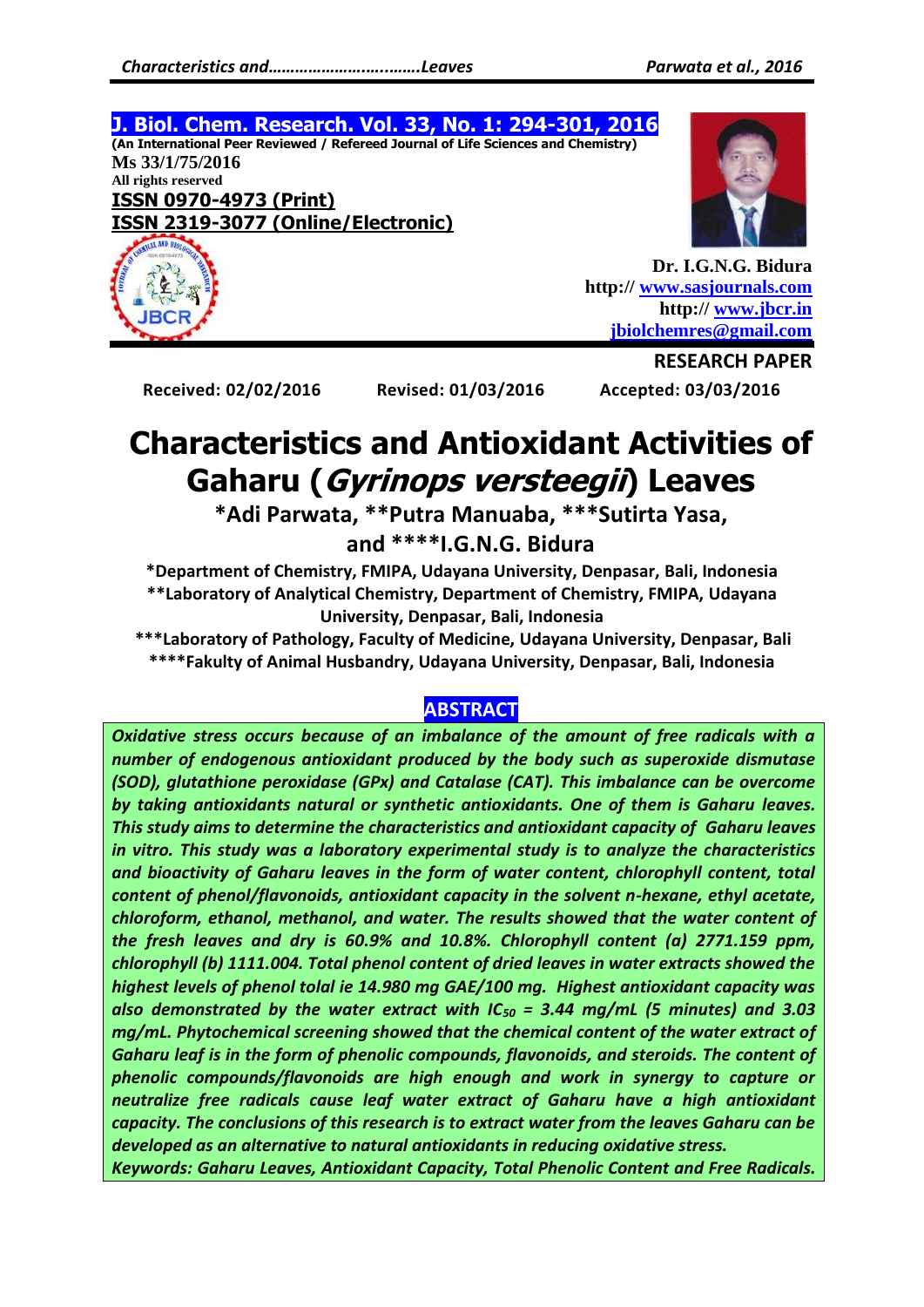**J. Biol. Chem. Research. Vol. 33, No. 1: 294-301, 2016 (An International Peer Reviewed / Refereed Journal of Life Sciences and Chemistry) Ms 33/1/75/2016 All rights reserved ISSN 0970-4973 (Print) ISSN 2319-3077 (Online/Electronic)**



**Dr. I.G.N.G. Bidura http:// [www.sasjournals.com](http://www.sasjournals.com/) http:// [www.jbcr.in](http://www.jbcr.in/) [jbiolchemres@gmail.com](mailto:jbiolchemres@gmail.com)**

**Received: 02/02/2016 Revised: 01/03/2016 Accepted: 03/03/2016**

**RESEARCH PAPER**

# **Characteristics and Antioxidant Activities of Gaharu (Gyrinops versteegii) Leaves**

**\*Adi Parwata, \*\*Putra Manuaba, \*\*\*Sutirta Yasa,** 

**and \*\*\*\*I.G.N.G. Bidura**

**\*Department of Chemistry, FMIPA, Udayana University, Denpasar, Bali, Indonesia \*\*Laboratory of Analytical Chemistry, Department of Chemistry, FMIPA, Udayana University, Denpasar, Bali, Indonesia**

**\*\*\*Laboratory of Pathology, Faculty of Medicine, Udayana University, Denpasar, Bali \*\*\*\*Fakulty of Animal Husbandry, Udayana University, Denpasar, Bali, Indonesia**

# **ABSTRACT**

*Oxidative stress occurs because of an imbalance of the amount of free radicals with a number of endogenous antioxidant produced by the body such as superoxide dismutase (SOD), glutathione peroxidase (GPx) and Catalase (CAT). This imbalance can be overcome by taking antioxidants natural or synthetic antioxidants. One of them is Gaharu leaves. This study aims to determine the characteristics and antioxidant capacity of Gaharu leaves in vitro. This study was a laboratory experimental study is to analyze the characteristics and bioactivity of Gaharu leaves in the form of water content, chlorophyll content, total content of phenol/flavonoids, antioxidant capacity in the solvent n-hexane, ethyl acetate, chloroform, ethanol, methanol, and water. The results showed that the water content of the fresh leaves and dry is 60.9% and 10.8%. Chlorophyll content (a) 2771.159 ppm, chlorophyll (b) 1111.004. Total phenol content of dried leaves in water extracts showed the highest levels of phenol tolal ie 14.980 mg GAE/100 mg. Highest antioxidant capacity was also demonstrated by the water extract with IC<sup>50</sup> = 3.44 mg/mL (5 minutes) and 3.03 mg/mL. Phytochemical screening showed that the chemical content of the water extract of Gaharu leaf is in the form of phenolic compounds, flavonoids, and steroids. The content of phenolic compounds/flavonoids are high enough and work in synergy to capture or neutralize free radicals cause leaf water extract of Gaharu have a high antioxidant capacity. The conclusions of this research is to extract water from the leaves Gaharu can be developed as an alternative to natural antioxidants in reducing oxidative stress.*

*Keywords: Gaharu Leaves, Antioxidant Capacity, Total Phenolic Content and Free Radicals.*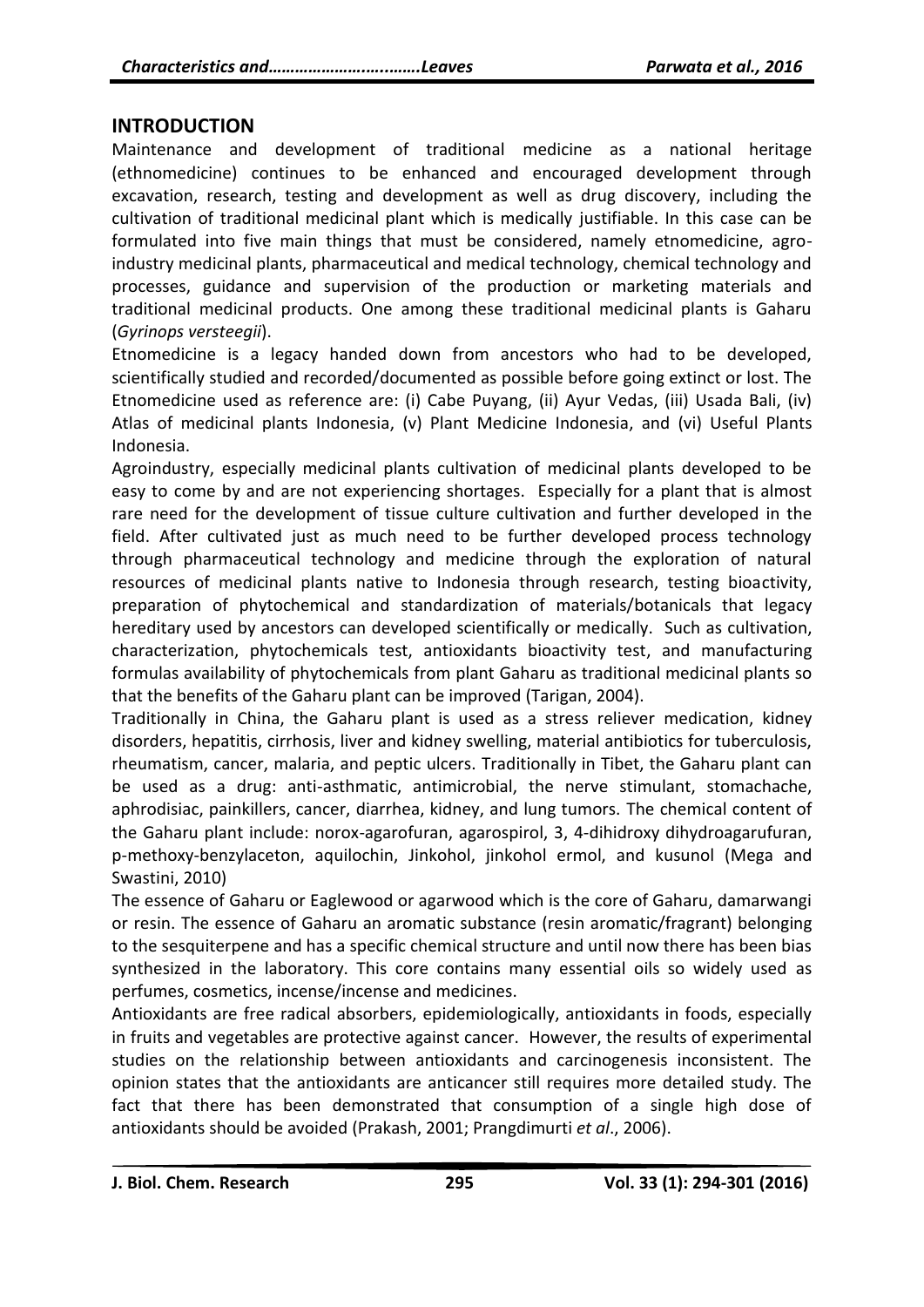#### **INTRODUCTION**

Maintenance and development of traditional medicine as a national heritage (ethnomedicine) continues to be enhanced and encouraged development through excavation, research, testing and development as well as drug discovery, including the cultivation of traditional medicinal plant which is medically justifiable. In this case can be formulated into five main things that must be considered, namely etnomedicine, agroindustry medicinal plants, pharmaceutical and medical technology, chemical technology and processes, guidance and supervision of the production or marketing materials and traditional medicinal products. One among these traditional medicinal plants is Gaharu (*Gyrinops versteegii*).

Etnomedicine is a legacy handed down from ancestors who had to be developed, scientifically studied and recorded/documented as possible before going extinct or lost. The Etnomedicine used as reference are: (i) Cabe Puyang, (ii) Ayur Vedas, (iii) Usada Bali, (iv) Atlas of medicinal plants Indonesia, (v) Plant Medicine Indonesia, and (vi) Useful Plants Indonesia.

Agroindustry, especially medicinal plants cultivation of medicinal plants developed to be easy to come by and are not experiencing shortages. Especially for a plant that is almost rare need for the development of tissue culture cultivation and further developed in the field. After cultivated just as much need to be further developed process technology through pharmaceutical technology and medicine through the exploration of natural resources of medicinal plants native to Indonesia through research, testing bioactivity, preparation of phytochemical and standardization of materials/botanicals that legacy hereditary used by ancestors can developed scientifically or medically. Such as cultivation, characterization, phytochemicals test, antioxidants bioactivity test, and manufacturing formulas availability of phytochemicals from plant Gaharu as traditional medicinal plants so that the benefits of the Gaharu plant can be improved (Tarigan, 2004).

Traditionally in China, the Gaharu plant is used as a stress reliever medication, kidney disorders, hepatitis, cirrhosis, liver and kidney swelling, material antibiotics for tuberculosis, rheumatism, cancer, malaria, and peptic ulcers. Traditionally in Tibet, the Gaharu plant can be used as a drug: anti-asthmatic, antimicrobial, the nerve stimulant, stomachache, aphrodisiac, painkillers, cancer, diarrhea, kidney, and lung tumors. The chemical content of the Gaharu plant include: norox-agarofuran, agarospirol, 3, 4-dihidroxy dihydroagarufuran, p-methoxy-benzylaceton, aquilochin, Jinkohol, jinkohol ermol, and kusunol (Mega and Swastini, 2010)

The essence of Gaharu or Eaglewood or agarwood which is the core of Gaharu, damarwangi or resin. The essence of Gaharu an aromatic substance (resin aromatic/fragrant) belonging to the sesquiterpene and has a specific chemical structure and until now there has been bias synthesized in the laboratory. This core contains many essential oils so widely used as perfumes, cosmetics, incense/incense and medicines.

Antioxidants are free radical absorbers, epidemiologically, antioxidants in foods, especially in fruits and vegetables are protective against cancer. However, the results of experimental studies on the relationship between antioxidants and carcinogenesis inconsistent. The opinion states that the antioxidants are anticancer still requires more detailed study. The fact that there has been demonstrated that consumption of a single high dose of antioxidants should be avoided (Prakash, 2001; Prangdimurti *et al*., 2006).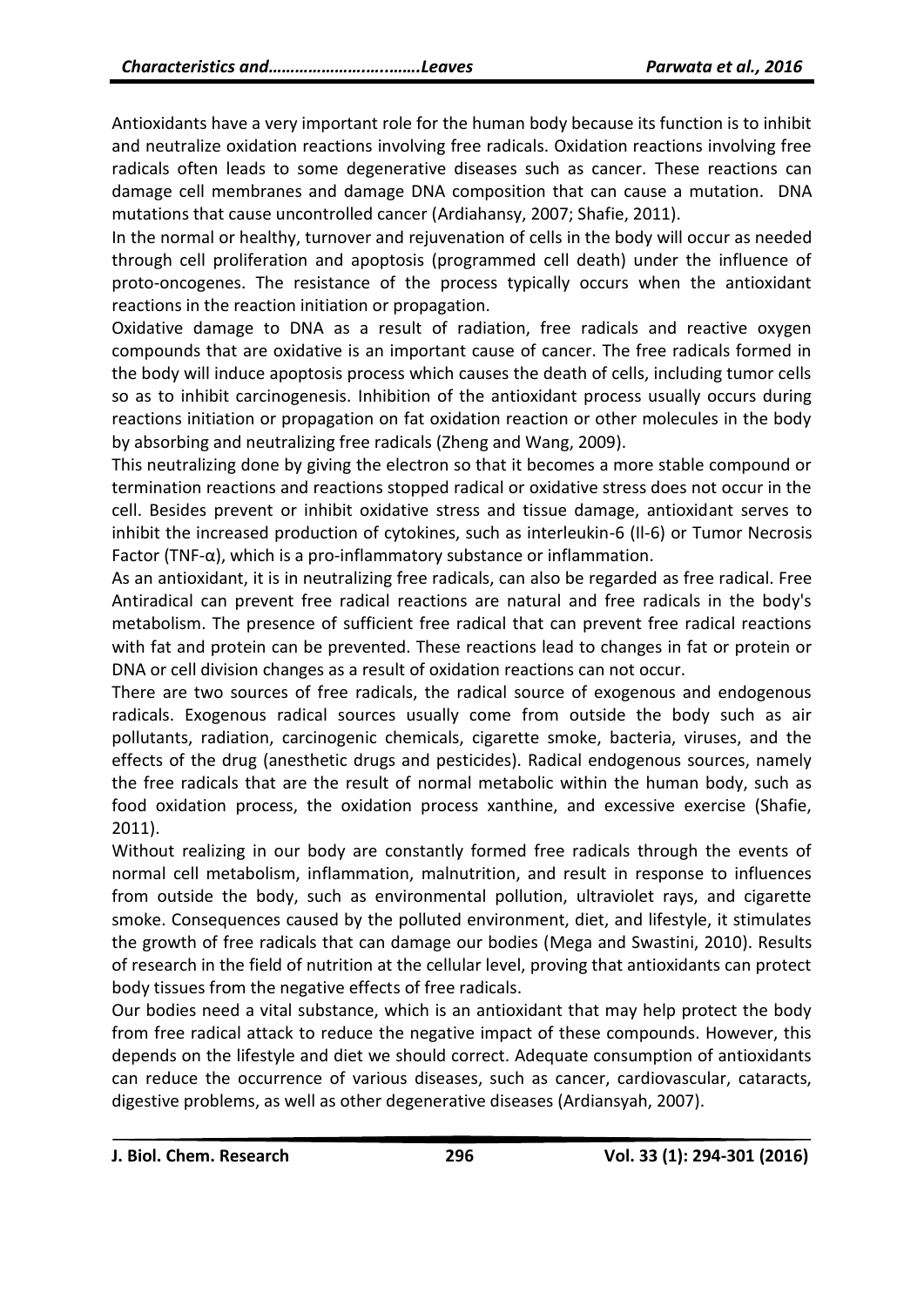Antioxidants have a very important role for the human body because its function is to inhibit and neutralize oxidation reactions involving free radicals. Oxidation reactions involving free radicals often leads to some degenerative diseases such as cancer. These reactions can damage cell membranes and damage DNA composition that can cause a mutation. DNA mutations that cause uncontrolled cancer (Ardiahansy, 2007; Shafie, 2011).

In the normal or healthy, turnover and rejuvenation of cells in the body will occur as needed through cell proliferation and apoptosis (programmed cell death) under the influence of proto-oncogenes. The resistance of the process typically occurs when the antioxidant reactions in the reaction initiation or propagation.

Oxidative damage to DNA as a result of radiation, free radicals and reactive oxygen compounds that are oxidative is an important cause of cancer. The free radicals formed in the body will induce apoptosis process which causes the death of cells, including tumor cells so as to inhibit carcinogenesis. Inhibition of the antioxidant process usually occurs during reactions initiation or propagation on fat oxidation reaction or other molecules in the body by absorbing and neutralizing free radicals (Zheng and Wang, 2009).

This neutralizing done by giving the electron so that it becomes a more stable compound or termination reactions and reactions stopped radical or oxidative stress does not occur in the cell. Besides prevent or inhibit oxidative stress and tissue damage, antioxidant serves to inhibit the increased production of cytokines, such as interleukin-6 (Il-6) or Tumor Necrosis Factor (TNF- $\alpha$ ), which is a pro-inflammatory substance or inflammation.

As an antioxidant, it is in neutralizing free radicals, can also be regarded as free radical. Free Antiradical can prevent free radical reactions are natural and free radicals in the body's metabolism. The presence of sufficient free radical that can prevent free radical reactions with fat and protein can be prevented. These reactions lead to changes in fat or protein or DNA or cell division changes as a result of oxidation reactions can not occur.

There are two sources of free radicals, the radical source of exogenous and endogenous radicals. Exogenous radical sources usually come from outside the body such as air pollutants, radiation, carcinogenic chemicals, cigarette smoke, bacteria, viruses, and the effects of the drug (anesthetic drugs and pesticides). Radical endogenous sources, namely the free radicals that are the result of normal metabolic within the human body, such as food oxidation process, the oxidation process xanthine, and excessive exercise (Shafie, 2011).

Without realizing in our body are constantly formed free radicals through the events of normal cell metabolism, inflammation, malnutrition, and result in response to influences from outside the body, such as environmental pollution, ultraviolet rays, and cigarette smoke. Consequences caused by the polluted environment, diet, and lifestyle, it stimulates the growth of free radicals that can damage our bodies (Mega and Swastini, 2010). Results of research in the field of nutrition at the cellular level, proving that antioxidants can protect body tissues from the negative effects of free radicals.

Our bodies need a vital substance, which is an antioxidant that may help protect the body from free radical attack to reduce the negative impact of these compounds. However, this depends on the lifestyle and diet we should correct. Adequate consumption of antioxidants can reduce the occurrence of various diseases, such as cancer, cardiovascular, cataracts, digestive problems, as well as other degenerative diseases (Ardiansyah, 2007).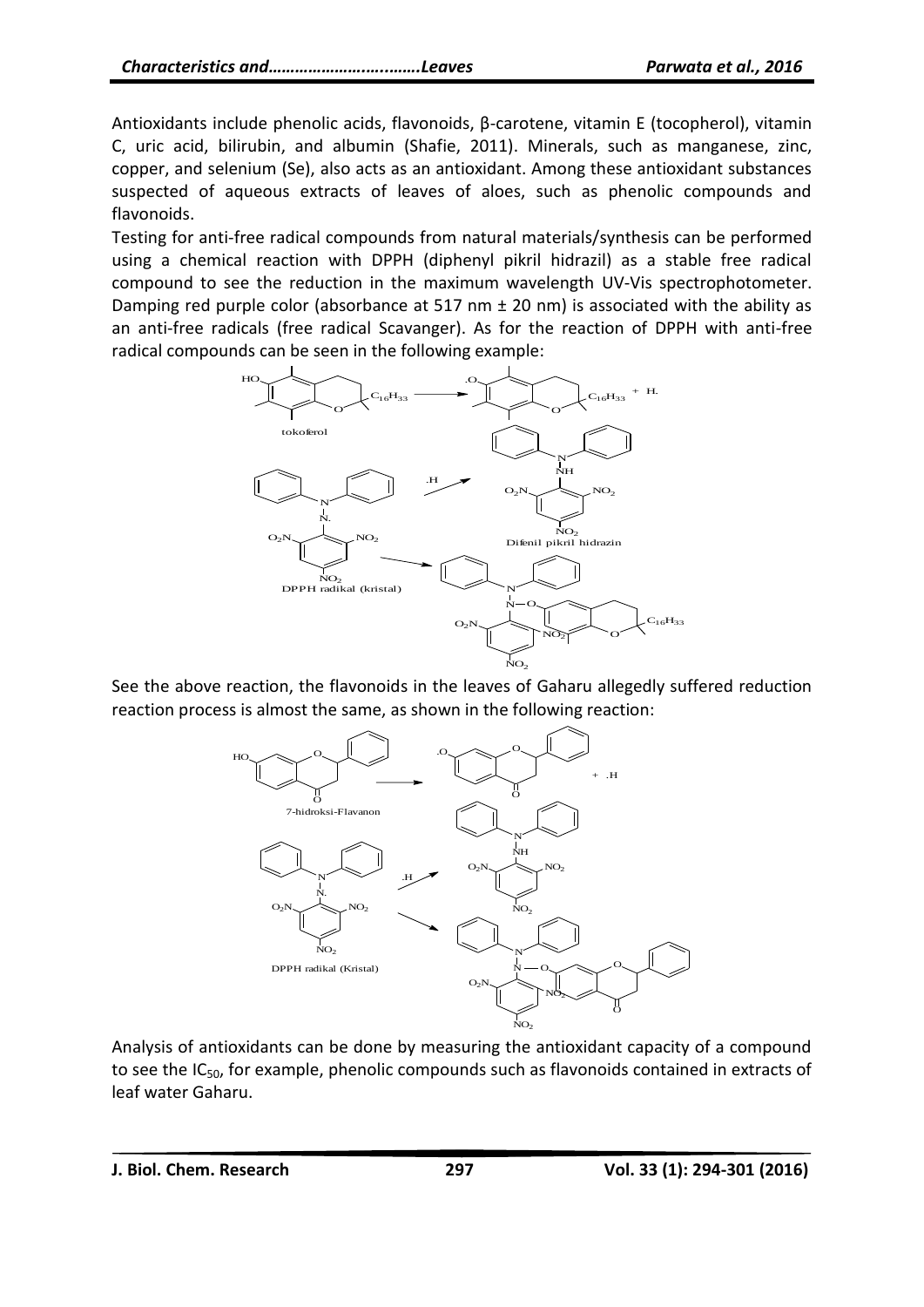Antioxidants include phenolic acids, flavonoids, β-carotene, vitamin E (tocopherol), vitamin C, uric acid, bilirubin, and albumin (Shafie, 2011). Minerals, such as manganese, zinc, copper, and selenium (Se), also acts as an antioxidant. Among these antioxidant substances suspected of aqueous extracts of leaves of aloes, such as phenolic compounds and flavonoids.

Testing for anti-free radical compounds from natural materials/synthesis can be performed using a chemical reaction with DPPH (diphenyl pikril hidrazil) as a stable free radical compound to see the reduction in the maximum wavelength UV-Vis spectrophotometer. Damping red purple color (absorbance at 517 nm  $\pm$  20 nm) is associated with the ability as an anti-free radicals (free radical Scavanger). As for the reaction of DPPH with anti-free radical compounds can be seen in the following example:



See the above reaction, the flavonoids in the leaves of Gaharu allegedly suffered reduction reaction process is almost the same, as shown in the following reaction:



Analysis of antioxidants can be done by measuring the antioxidant capacity of a compound to see the  $IC_{50}$ , for example, phenolic compounds such as flavonoids contained in extracts of leaf water Gaharu.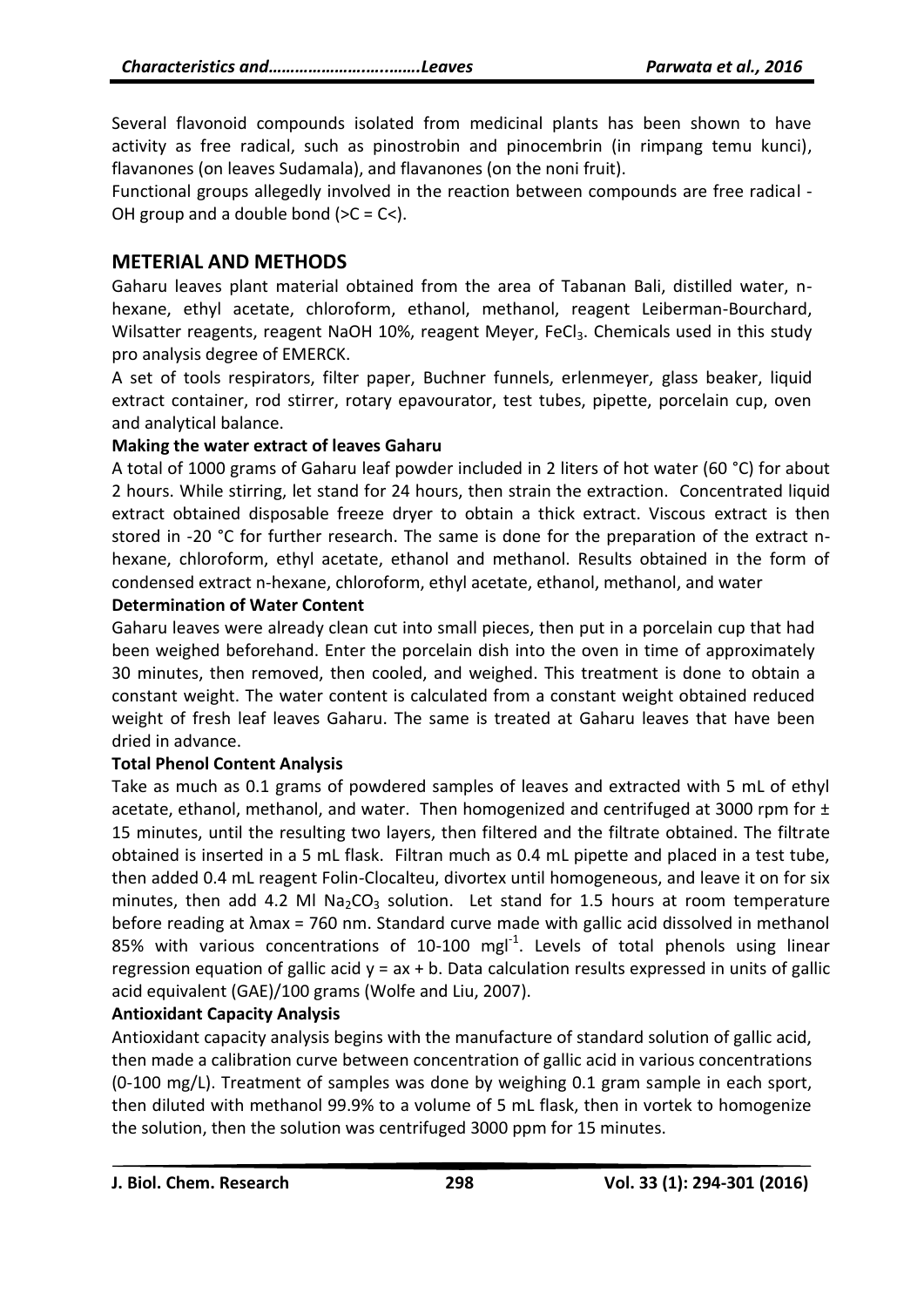Several flavonoid compounds isolated from medicinal plants has been shown to have activity as free radical, such as pinostrobin and pinocembrin (in rimpang temu kunci), flavanones (on leaves Sudamala), and flavanones (on the noni fruit).

Functional groups allegedly involved in the reaction between compounds are free radical - OH group and a double bond  $(>C = C$ .

# **METERIAL AND METHODS**

Gaharu leaves plant material obtained from the area of Tabanan Bali, distilled water, nhexane, ethyl acetate, chloroform, ethanol, methanol, reagent Leiberman-Bourchard, Wilsatter reagents, reagent NaOH 10%, reagent Meyer, FeCl<sub>3</sub>. Chemicals used in this study pro analysis degree of EMERCK.

A set of tools respirators, filter paper, Buchner funnels, erlenmeyer, glass beaker, liquid extract container, rod stirrer, rotary epavourator, test tubes, pipette, porcelain cup, oven and analytical balance.

#### **Making the water extract of leaves Gaharu**

A total of 1000 grams of Gaharu leaf powder included in 2 liters of hot water (60 °C) for about 2 hours. While stirring, let stand for 24 hours, then strain the extraction. Concentrated liquid extract obtained disposable freeze dryer to obtain a thick extract. Viscous extract is then stored in -20 °C for further research. The same is done for the preparation of the extract nhexane, chloroform, ethyl acetate, ethanol and methanol. Results obtained in the form of condensed extract n-hexane, chloroform, ethyl acetate, ethanol, methanol, and water

#### **Determination of Water Content**

Gaharu leaves were already clean cut into small pieces, then put in a porcelain cup that had been weighed beforehand. Enter the porcelain dish into the oven in time of approximately 30 minutes, then removed, then cooled, and weighed. This treatment is done to obtain a constant weight. The water content is calculated from a constant weight obtained reduced weight of fresh leaf leaves Gaharu. The same is treated at Gaharu leaves that have been dried in advance.

#### **Total Phenol Content Analysis**

Take as much as 0.1 grams of powdered samples of leaves and extracted with 5 mL of ethyl acetate, ethanol, methanol, and water. Then homogenized and centrifuged at 3000 rpm for  $\pm$ 15 minutes, until the resulting two layers, then filtered and the filtrate obtained. The filtrate obtained is inserted in a 5 mL flask. Filtran much as 0.4 mL pipette and placed in a test tube, then added 0.4 mL reagent Folin-Clocalteu, divortex until homogeneous, and leave it on for six minutes, then add 4.2 Ml Na<sub>2</sub>CO<sub>3</sub> solution. Let stand for 1.5 hours at room temperature before reading at λmax = 760 nm. Standard curve made with gallic acid dissolved in methanol 85% with various concentrations of  $10-100$  mgl<sup>-1</sup>. Levels of total phenols using linear regression equation of gallic acid  $y = ax + b$ . Data calculation results expressed in units of gallic acid equivalent (GAE)/100 grams (Wolfe and Liu, 2007).

#### **Antioxidant Capacity Analysis**

Antioxidant capacity analysis begins with the manufacture of standard solution of gallic acid, then made a calibration curve between concentration of gallic acid in various concentrations (0-100 mg/L). Treatment of samples was done by weighing 0.1 gram sample in each sport, then diluted with methanol 99.9% to a volume of 5 mL flask, then in vortek to homogenize the solution, then the solution was centrifuged 3000 ppm for 15 minutes.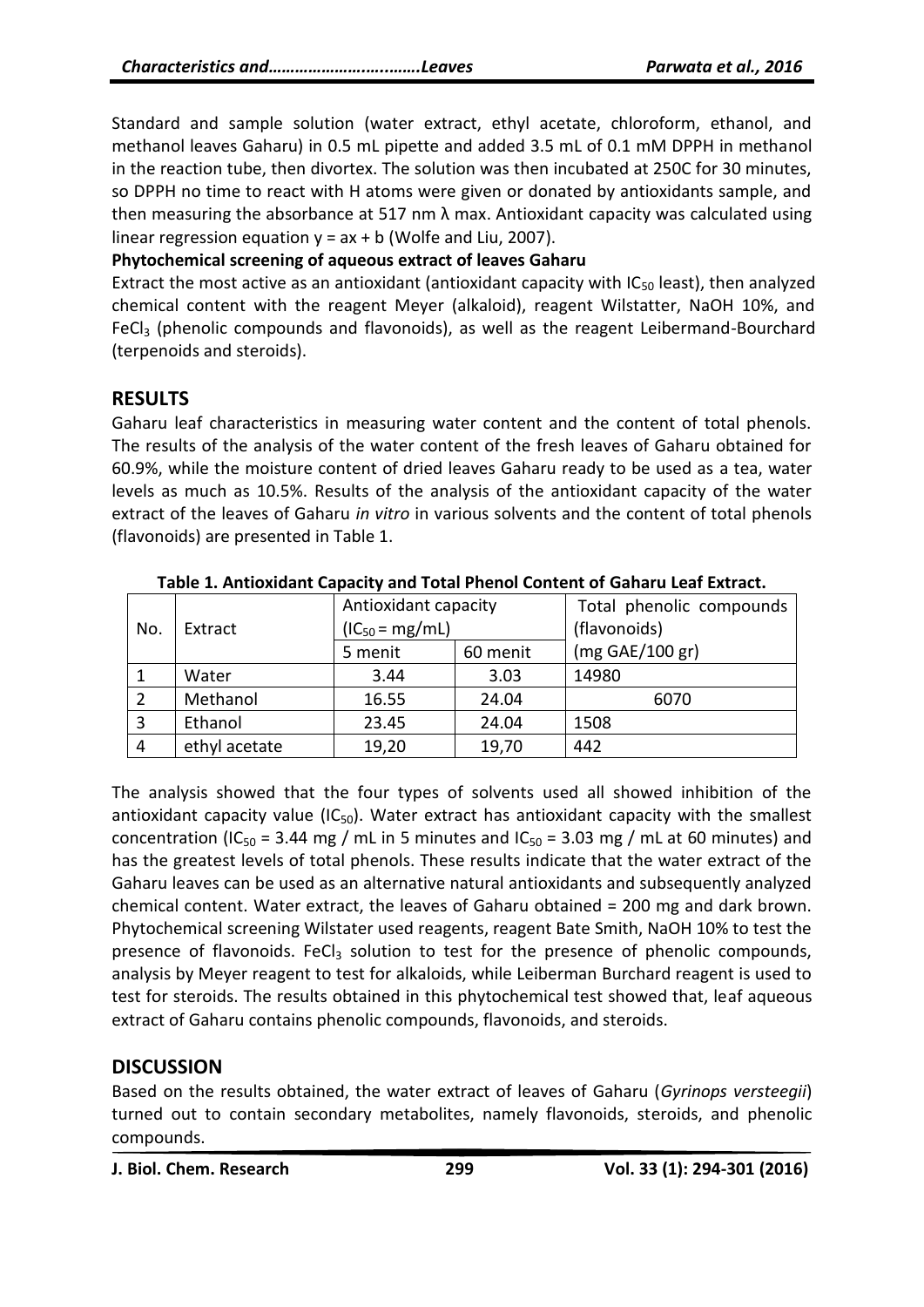Standard and sample solution (water extract, ethyl acetate, chloroform, ethanol, and methanol leaves Gaharu) in 0.5 mL pipette and added 3.5 mL of 0.1 mM DPPH in methanol in the reaction tube, then divortex. The solution was then incubated at 250C for 30 minutes, so DPPH no time to react with H atoms were given or donated by antioxidants sample, and then measuring the absorbance at 517 nm  $\lambda$  max. Antioxidant capacity was calculated using linear regression equation  $y = ax + b$  (Wolfe and Liu, 2007).

#### **Phytochemical screening of aqueous extract of leaves Gaharu**

Extract the most active as an antioxidant (antioxidant capacity with  $IC_{50}$  least), then analyzed chemical content with the reagent Meyer (alkaloid), reagent Wilstatter, NaOH 10%, and FeCl<sub>3</sub> (phenolic compounds and flavonoids), as well as the reagent Leibermand-Bourchard (terpenoids and steroids).

# **RESULTS**

Gaharu leaf characteristics in measuring water content and the content of total phenols. The results of the analysis of the water content of the fresh leaves of Gaharu obtained for 60.9%, while the moisture content of dried leaves Gaharu ready to be used as a tea, water levels as much as 10.5%. Results of the analysis of the antioxidant capacity of the water extract of the leaves of Gaharu *in vitro* in various solvents and the content of total phenols (flavonoids) are presented in Table 1.

| No. | Extract       | Antioxidant capacity |          | Total phenolic compounds |
|-----|---------------|----------------------|----------|--------------------------|
|     |               | $(IC_{50} = mg/mL)$  |          | (flavonoids)             |
|     |               | 5 menit              | 60 menit | (mg GAE/100 gr)          |
|     | Water         | 3.44                 | 3.03     | 14980                    |
|     | Methanol      | 16.55                | 24.04    | 6070                     |
| 3   | Ethanol       | 23.45                | 24.04    | 1508                     |
| 4   | ethyl acetate | 19,20                | 19,70    | 442                      |

**Table 1. Antioxidant Capacity and Total Phenol Content of Gaharu Leaf Extract.**

The analysis showed that the four types of solvents used all showed inhibition of the antioxidant capacity value ( $IC_{50}$ ). Water extract has antioxidant capacity with the smallest concentration (IC<sub>50</sub> = 3.44 mg / mL in 5 minutes and IC<sub>50</sub> = 3.03 mg / mL at 60 minutes) and has the greatest levels of total phenols. These results indicate that the water extract of the Gaharu leaves can be used as an alternative natural antioxidants and subsequently analyzed chemical content. Water extract, the leaves of Gaharu obtained = 200 mg and dark brown. Phytochemical screening Wilstater used reagents, reagent Bate Smith, NaOH 10% to test the presence of flavonoids. FeCl $_3$  solution to test for the presence of phenolic compounds, analysis by Meyer reagent to test for alkaloids, while Leiberman Burchard reagent is used to test for steroids. The results obtained in this phytochemical test showed that, leaf aqueous extract of Gaharu contains phenolic compounds, flavonoids, and steroids.

# **DISCUSSION**

Based on the results obtained, the water extract of leaves of Gaharu (*Gyrinops versteegii*) turned out to contain secondary metabolites, namely flavonoids, steroids, and phenolic compounds.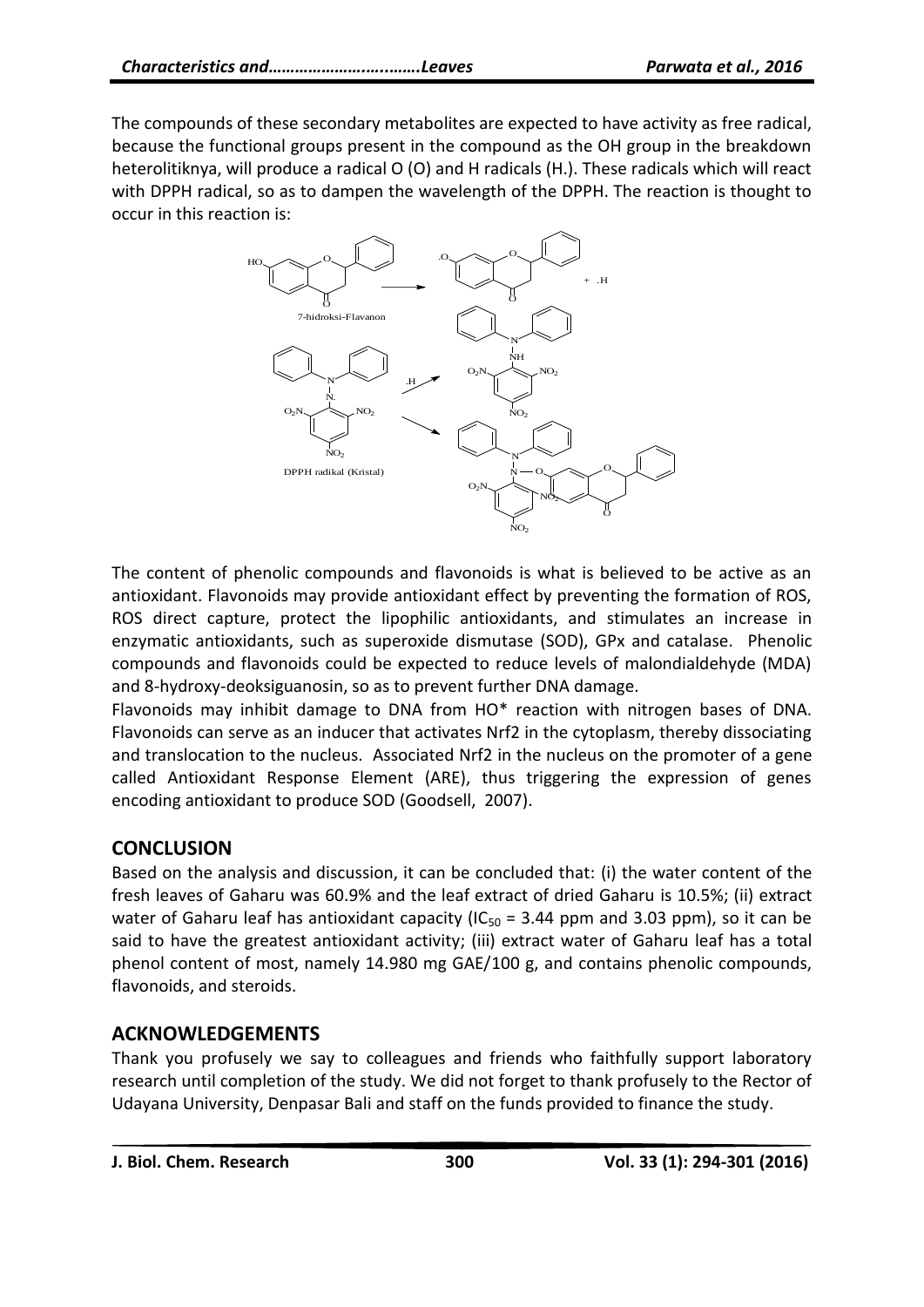The compounds of these secondary metabolites are expected to have activity as free radical, because the functional groups present in the compound as the OH group in the breakdown heterolitiknya, will produce a radical O (O) and H radicals (H.). These radicals which will react with DPPH radical, so as to dampen the wavelength of the DPPH. The reaction is thought to occur in this reaction is:



The content of phenolic compounds and flavonoids is what is believed to be active as an antioxidant. Flavonoids may provide antioxidant effect by preventing the formation of ROS, ROS direct capture, protect the lipophilic antioxidants, and stimulates an increase in enzymatic antioxidants, such as superoxide dismutase (SOD), GPx and catalase. Phenolic compounds and flavonoids could be expected to reduce levels of malondialdehyde (MDA) and 8-hydroxy-deoksiguanosin, so as to prevent further DNA damage.

Flavonoids may inhibit damage to DNA from HO\* reaction with nitrogen bases of DNA. Flavonoids can serve as an inducer that activates Nrf2 in the cytoplasm, thereby dissociating and translocation to the nucleus. Associated Nrf2 in the nucleus on the promoter of a gene called Antioxidant Response Element (ARE), thus triggering the expression of genes encoding antioxidant to produce SOD (Goodsell, 2007).

# **CONCLUSION**

Based on the analysis and discussion, it can be concluded that: (i) the water content of the fresh leaves of Gaharu was 60.9% and the leaf extract of dried Gaharu is 10.5%; (ii) extract water of Gaharu leaf has antioxidant capacity ( $IC_{50} = 3.44$  ppm and 3.03 ppm), so it can be said to have the greatest antioxidant activity; (iii) extract water of Gaharu leaf has a total phenol content of most, namely 14.980 mg GAE/100 g, and contains phenolic compounds, flavonoids, and steroids.

# **ACKNOWLEDGEMENTS**

Thank you profusely we say to colleagues and friends who faithfully support laboratory research until completion of the study. We did not forget to thank profusely to the Rector of Udayana University, Denpasar Bali and staff on the funds provided to finance the study.